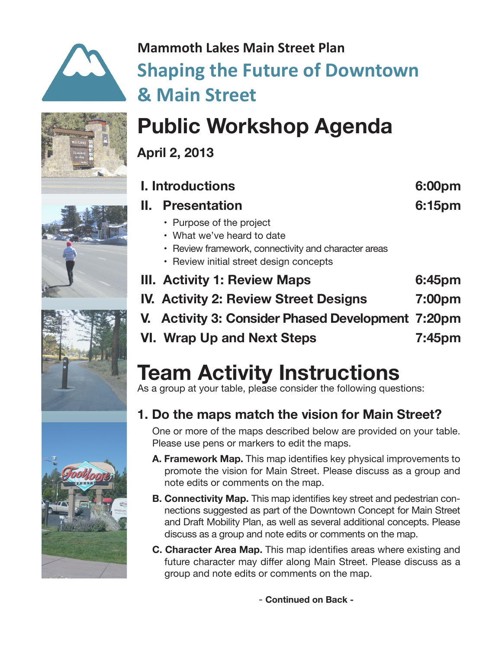

## **Mammoth Lakes Main Street Plan Shaping the Future of Downtown & Main Street**



**April 2, 2013**

| <b>I. Introductions</b> |                                                                                                                                                           | 6:00pm |
|-------------------------|-----------------------------------------------------------------------------------------------------------------------------------------------------------|--------|
| н.                      | <b>Presentation</b>                                                                                                                                       | 6:15pm |
|                         | • Purpose of the project<br>• What we've heard to date<br>• Review framework, connectivity and character areas<br>• Review initial street design concepts |        |
|                         | III. Activity 1: Review Maps                                                                                                                              | 6:45pm |
|                         | <b>IV. Activity 2: Review Street Designs</b>                                                                                                              | 7:00pm |
|                         | V. Activity 3: Consider Phased Development 7:20pm                                                                                                         |        |
|                         | <b>VI. Wrap Up and Next Steps</b>                                                                                                                         | 7:45pm |

# **Team Activity Instructions**

As a group at your table, please consider the following questions:

## **1. Do the maps match the vision for Main Street?**

One or more of the maps described below are provided on your table. Please use pens or markers to edit the maps.

- **A. Framework Map.** This map identifies key physical improvements to promote the vision for Main Street. Please discuss as a group and note edits or comments on the map.
- **B. Connectivity Map.** This map identifies key street and pedestrian connections suggested as part of the Downtown Concept for Main Street and Draft Mobility Plan, as well as several additional concepts. Please discuss as a group and note edits or comments on the map.
- **C. Character Area Map.** This map identifies areas where existing and future character may differ along Main Street. Please discuss as a group and note edits or comments on the map.